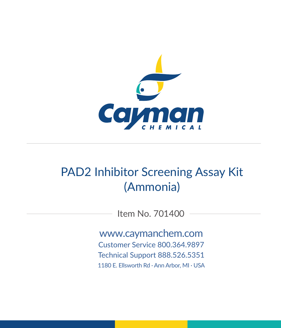

# PAD2 Inhibitor Screening Assay Kit (Ammonia)

Item No. 701400

www.caymanchem.com Customer Service 800.364.9897 Technical Support 888.526.5351 1180 E. Ellsworth Rd · Ann Arbor, MI · USA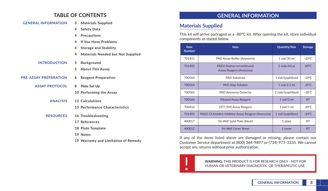## **TABLE OF CONTENTS**

| <b>GENERAL INFORMATION</b>   |          | 3 Materials Supplied                     |
|------------------------------|----------|------------------------------------------|
|                              | 4        | <b>Safety Data</b>                       |
|                              | 4        | <b>Precautions</b>                       |
|                              | 4        | If You Have Problems                     |
|                              | 4        | <b>Storage and Stability</b>             |
|                              | 4        | <b>Materials Needed but Not Supplied</b> |
| <b>INTRODUCTION</b>          | 5        | <b>Background</b>                        |
|                              | 5        | <b>About This Assay</b>                  |
| <b>PRE-ASSAY PREPARATION</b> | 6        | <b>Reagent Preparation</b>               |
| <b>ASSAY PROTOCOL</b>        | 8        | Plate Set Up                             |
|                              |          | 10 Performing the Assay                  |
| <b>ANALYSIS</b>              |          | 12 Calculations                          |
|                              |          | 13 Performance Characteristics           |
| <b>RESOURCES</b>             |          | 16 Troubleshooting                       |
|                              |          | 17 References                            |
|                              |          | 18 Plate Template                        |
|                              | 19 Notes |                                          |
|                              |          |                                          |

**19 Warranty and Limitation of Remedy**

## **GENERAL INFORMATION**

## **Materials Supplied**

This kit will arrive packaged as a -80°C kit. After opening the kit, store individual components as stated below.

| <b>Item</b><br><b>Number</b> | <b>Item</b>                                         | <b>Quantity/Size</b> | <b>Storage</b>  |
|------------------------------|-----------------------------------------------------|----------------------|-----------------|
| 701451                       | PAD Assay Buffer (Ammonia)                          | 1 vial/30 ml         | $-20^{\circ}$ C |
| 701402                       | PAD2 (human recombinant)<br>Assay Reagent (Ammonia) | $2$ vials/60 $\mu$   | $-80^{\circ}$ C |
| 700563                       | <b>PAD Substrate</b>                                | 1 vial/lyophilized   | $-20^{\circ}$ C |
| 700564                       | <b>PAD Stop Solution</b>                            | $1$ vial/2.5 ml      | $-20^{\circ}$ C |
| 700565                       | <b>PAD Ammonia Detector</b>                         | 2 vials/lyophilized  | $-20^{\circ}$ C |
| 700566                       | <b>Ethanol Assay Reagent</b>                        | $1$ vial/ $2$ ml     | <b>RT</b>       |
| 700416                       | DTT (1M) Assay Reagent                              | $1$ vial/ $1$ ml     | $-20^{\circ}$ C |
| 701403                       | PAD2 CI-Amidine Inhibitor Assay Reagent (Ammonia)   | 1 vial/lyophilized   | $-20^{\circ}$ C |
| 400017                       | 96-Well Solid Plate (black)                         | 1 plate              | <b>RT</b>       |
| 400012                       | 96-Well Cover Sheet                                 | 1 cover              | <b>RT</b>       |

If any of the items listed above are damaged or missing, please contact our Customer Service department at (800) 364-9897 or (734) 971-3335. We cannot accept any returns without prior authorization.



! **WARNING:** THIS PRODUCT IS FOR RESEARCH ONLY - NOT FOR HUMAN OR VETERINARY DIAGNOSTIC OR THERAPEUTIC USE.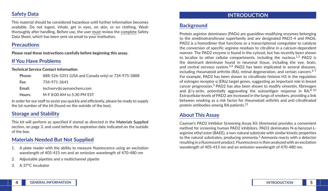## **Safety Data**

This material should be considered hazardous until further information becomes available. Do not ingest, inhale, get in eyes, on skin, or on clothing. Wash thoroughly after handling. Before use, the user must review the complete Safety Data Sheet, which has been sent *via* email to your institution.

### **Precautions**

**Please read these instructions carefully before beginning this assay.**

## **If You Have Problems**

**Technical Service Contact Information**

| Phone: | 888-526-5351 (USA and Canada only) or 734-975-3888 |
|--------|----------------------------------------------------|
| Fax:   | 734-971-3641                                       |
| Email: | techserv@caymanchem.com                            |
| Hours: | M-F 8:00 AM to 5:30 PM FST                         |

In order for our staff to assist you quickly and efficiently, please be ready to supply the lot number of the kit (found on the outside of the box).

## **Storage and Stability**

This kit will perform as specified if stored as directed in the **Materials Supplied** section, on page 3, and used before the expiration date indicated on the outside of the box.

## **Materials Needed But Not Supplied**

- 1. A plate reader with the ability to measure fluorescence using an excitation wavelength of 405-415 nm and an emission wavelength of 470-480 nm
- 2. Adjustable pipettes and a multichannel pipette
- 3. A 37°C incubator

## **INTRODUCTION**

## **Background**

Protein arginine deiminases (PADs) are guanidino-modifying enzymes belonging to the amidinotransferase superfamily and are designated PAD1-4 and PAD6. PAD2 is a homodimer that functions as a transcriptional coregulator to catalyze the conversion of specific arginine residues to citrulline in a calcium-dependent manner. The PAD2 enzyme is found in the cytosol, but has recently been shown to localize to other cellular compartments, including the nucleus.<sup>1,2</sup> PAD2 is the dominant deiminase found in neuronal tissue, including the eye, brain, and central nervous system.<sup>3,4</sup> PAD2 has been implicated in several diseases, including rheumatoid arthritis (RA), retinal degeneration, and certain cancers. $4-7$ For example, PAD2 has been shown to citrullinate histone H3 in the regulation of estrogen receptor α (ERα) target genes, suggesting an important role in breast cancer progression.5 PAD2 has also been shown to modify vimentin, fibrinogen and  $\beta/\gamma$ -actin, potentially aggravating the autoantigen response in RA.<sup>8-10</sup> Extracellular levels of PAD2 are increased in the lungs of smokers, providing a link between smoking as a risk factor for rheumatoid arthritis and anti-citrullinated protein antibodies among RA patients.<sup>11</sup>

## **About This Assay**

Cayman's PAD2 Inhibitor Screening Assay Kit (Ammonia) provides a convenient method for screening human PAD2 inhibitors. PAD2 deiminates N-α-benzoyl-Larginine ethyl ester (BAEE), a non-natural substrate with similar kinetic properties to the natural substrates, producing ammonia. $3$  Ammonia reacts with a detector resulting in a fluorescent product. Fluorescence is then analyzed with an excitation wavelength of 405-415 nm and an emission wavelength of 470-480 nm.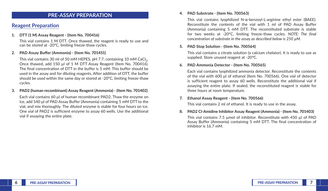### **PRE-ASSAY PREPARATION**

### **Reagent Preparation**

#### **1. DTT (1 M) Assay Reagent - (Item No. 700416)**

This vial contains 1 M DTT. Once thawed, the reagent is ready to use and can be stored at -20ºC, limiting freeze-thaw cycles.

#### **2. PAD Assay Buffer (Ammonia) - (Item No. 701451)**

This vial contains 30 ml of 50 mM HEPES, pH 7.7, containing 10 mM CaCl<sub>2</sub>. Once thawed, add 150 µl of 1 M DTT Assay Reagent (Item No. 700416). The final concentration of DTT in the buffer is 5 mM. This buffer should be used in the assay and for diluting reagents. After addition of DTT, the buffer should be used within the same day or stored at -20ºC, limiting freeze-thaw cycles.

#### **3. PAD2 (human recombinant) Assay Reagent (Ammonia) - (Item No. 701402)**

Each vial contains 60 μl of human recombinant PAD2. Thaw the enzyme on ice, add 540 μl of PAD Assay Buffer (Ammonia) containing 5 mM DTT to the vial, and mix thoroughly. The diluted enzyme is stable for four hours on ice. One vial of PAD2 is sufficient enzyme to assay 60 wells. Use the additional vial if assaying the entire plate.

#### **4. PAD Substrate - (Item No. 700563)**

This vial contains lyophilized N-α-benzoyl-L-arginine ethyl ester (BAEE). Reconstitute the contents of the vial with 1 ml of PAD Assay Buffer (Ammonia) containing 5 mM DTT. The reconstituted substrate is stable for two weeks at -20°C, limiting freeze-thaw cycles. *NOTE: The final concentration of substrate in the assay as described below is 250 µM.* 

#### **5. PAD Stop Solution - (Item No. 700564)**

This vial contains a citrate solution (a calcium chelator). It is ready to use as supplied. Store unused reagent at -20°C.

#### **6. PAD Ammonia Detector - (Item No. 700565)**

Each vial contains lyophilized ammonia detector. Reconstitute the contents of the vial with 600 μl of ethanol (Item No. 700566). One vial of detector is sufficient reagent to assay 60 wells. Reconstitute the additional vial if assaying the entire plate. If sealed, the reconstituted reagent is stable for three hours at room temperature.

#### **7. Ethanol Assay Reagent - (Item No. 700566)**

This vial contains 2 ml of ethanol. It is ready to use in the assay.

**8. PAD2 Cl-Amidine Inhibitor Assay Reagent (Ammonia) - (Item No. 701403)** This vial contains 7.5 µmol of inhibitor. Reconstitute with 450 µl of PAD Assay Buffer (Ammonia) containing 5 mM DTT. The final concentration of inhibitor is 16.7 mM.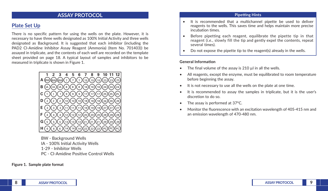### **ASSAY PROTOCOL**

## **Plate Set Up**

There is no specific pattern for using the wells on the plate. However, it is necessary to have three wells designated as 100% Initial Activity and three wells designated as Background. It is suggested that each inhibitor (including the PAD2 Cl-Amidine Inhibitor Assay Reagent (Ammonia) (Item No. 701403)) be assayed in triplicate, and the contents of each well are recorded on the template sheet provided on page 18. A typical layout of samples and inhibitors to be measured in triplicate is shown in Figure 1.



BW - Background Wells IA - 100% Initial Activity Wells 1-29 - Inhibitor Wells PC - Cl-Amidine Positive Control Wells

**Figure 1. Sample plate format**

#### **Pipetting Hints**

- It is recommended that a multichannel pipette be used to deliver reagents to the wells. This saves time and helps maintain more precise incubation times.
- Before pipetting each reagent, equilibrate the pipette tip in that reagent (*i.e.*, slowly fill the tip and gently expel the contents, repeat several times).
- Do not expose the pipette tip to the reagent(s) already in the wells.

#### **General Information**

- The final volume of the assay is 210 ul in all the wells.
- All reagents, except the enzyme, must be equilibrated to room temperature before beginning the assay.
- It is not necessary to use all the wells on the plate at one time.
- It is recommended to assay the samples in triplicate, but it is the user's discretion to do so.
- The assay is performed at 37°C.
- Monitor the fluorescence with an excitation wavelength of 405-415 nm and an emission wavelength of 470-480 nm.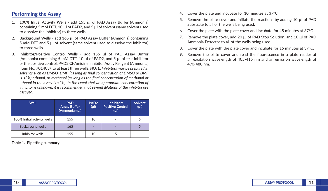## **Performing the Assay**

- 1. **100% Initial Activity Wells -** add 155 µl of PAD Assay Buffer (Ammonia) containing 5 mM DTT, 10 µl of PAD2, and 5 µl of solvent (same solvent used to dissolve the inhibitor) to three wells.
- 2. **Background Wells -** add 165 µl of PAD Assay Buffer (Ammonia) containing 5 mM DTT and 5 µl of solvent (same solvent used to dissolve the inhibitor) to three wells.
- 3. **Inhibitor/Positive Control Wells -** add 155 µl of PAD Assay Buffer (Ammonia) containing 5 mM DTT, 10 µl of PAD2, and 5 µl of test inhibitor or the positive control, PAD2 Cl-Amidine Inhibitor Assay Reagent (Ammonia) (Item No. 701403), to at least three wells. *NOTE: Inhibitors may be prepared in solvents such as DMSO, DMF, (as long as final concentration of DMSO or DMF is <3%) ethanol, or methanol (as long as the final concentration of methanol or ethanol in the assay is <2%). In the event that an appropriate concentration of inhibitor is unknown, it is recommended that several dilutions of the inhibitor are assayed.*

| Well                        | <b>PAD</b><br><b>Assay Buffer</b><br>(Ammonia) (µl) | PAD <sub>2</sub><br>$(\mu$ l | Inhibitor/<br><b>Positive Control</b><br>$(\mu$ l) | <b>Solvent</b><br>$(\mu$ l) |
|-----------------------------|-----------------------------------------------------|------------------------------|----------------------------------------------------|-----------------------------|
| 100% Initial activity wells | 155                                                 | 10                           | $\overline{\phantom{a}}$                           |                             |
| <b>Background wells</b>     | 165                                                 | -                            |                                                    |                             |
| Inhibitor wells             | 155                                                 | 10                           |                                                    |                             |

**Table 1. Pipetting summary**

- 4. Cover the plate and incubate for 10 minutes at 37°C.
- 5. Remove the plate cover and initiate the reactions by adding 10 µl of PAD Substrate to all of the wells being used.
- 6. Cover the plate with the plate cover and incubate for 45 minutes at 37°C.
- 7. Remove the plate cover, add 20 μl of PAD Stop Solution, and 10 μl of PAD Ammonia Detector to all of the wells being used.
- 8. Cover the plate with the plate cover and incubate for 15 minutes at 37°C.
- 9. Remove the plate cover and read the fluorescence in a plate reader at an excitation wavelength of 405-415 nm and an emission wavelength of 470-480 nm.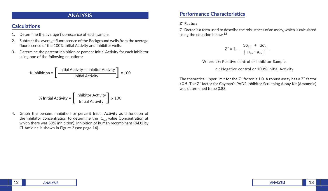## **ANALYSIS**

## **Calculations**

- 1. Determine the average fluorescence of each sample.
- 2. Subtract the average fluorescence of the Background wells from the average fluorescence of the 100% Initial Activity and Inhibitor wells.
- 3. Determine the percent Inhibition or percent Initial Activity for each inhibitor using one of the following equations:

% Inhibition = 
$$
\left[\frac{\text{Initial Activity - Inhibitor Activity}}{\text{Initial Activity}}\right] \times 100
$$

\n% Initial Activity = 
$$
\left[\frac{\text{Inhibitor Activity}}{\text{Initial Activity}}\right] \times 100
$$

4. Graph the percent Inhibition or percent Initial Activity as a function of the inhibitor concentration to determine the  $IC_{50}$  value (concentration at which there was 50% inhibition). Inhibition of human recombinant PAD2 by Cl-Amidine is shown in Figure 2 (see page 14).

## **Performance Characteristics**

#### **Z´ Factor:**

Z´ Factor is a term used to describe the robustness of an assay,which is calculated using the equation below.<sup>12</sup>

$$
Z' = 1 - \frac{3\sigma_{c^{+}} + 3\sigma_{c^{-}}}{|\mu_{c^{+}} - \mu_{c^{-}}|}
$$

Where c+: Posive control or Inhibitor Sample

c -: Negative control or 100% Initial Activity

The theoretical upper limit for the Z´ factor is 1.0. A robust assay has a Z´ factor >0.5. The Z´ factor for Cayman's PAD2 Inhibitor Screening Assay Kit (Ammonia) was determined to be 0.83.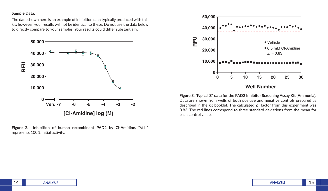#### **Sample Data:**

The data shown here is an example of inhibition data typically produced with this kit; however, your results will not be identical to these. Do not use the data below to directly compare to your samples. Your results could differ substantially.



**Figure 2. Inhibition of human recombinant PAD2 by Cl-Amidine. "Veh."** represents 100% initial activity.



**Well Number**

**Figure 3. Typical Z´ data for the PAD2 Inhibitor Screening Assay Kit (Ammonia).**  Data are shown from wells of both positive and negative controls prepared as described in the kit booklet. The calculated Z´ factor from this experiment was 0.83. The red lines correspond to three standard deviations from the mean for each control value.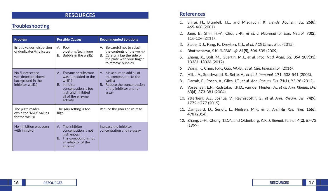## **RESOURCES**

## **Troubleshooting**

| Problem                                                                         | <b>Possible Causes</b>                                                                                                                                   | <b>Recommended Solutions</b>                                                                                                                  |  |
|---------------------------------------------------------------------------------|----------------------------------------------------------------------------------------------------------------------------------------------------------|-----------------------------------------------------------------------------------------------------------------------------------------------|--|
| Erratic values; dispersion<br>of duplicates/triplicates                         | A. Poor<br>pipetting/technique<br>B. Bubble in the well(s)                                                                                               | A. Be careful not to splash<br>the contents of the well(s)<br>B. Carefully tap the side of<br>the plate with your finger<br>to remove bubbles |  |
| No fluorescence<br>was detected above<br>background in the<br>inhibitor well(s) | A. Enzyme or substrate<br>was not added to the<br>well(s)<br>B. Inhibitor<br>concentration is too<br>high and inhibited<br>all of the enzyme<br>activity | A. Make sure to add all of<br>the components to the<br>well(s)<br>B. Reduce the concentration<br>of the inhibitor and re-<br>assay            |  |
| The plate reader<br>exhibited 'MAX' values<br>for the well(s)                   | The gain setting is too<br>high                                                                                                                          | Reduce the <i>gain</i> and re-read                                                                                                            |  |
| No inhibition was seen<br>with inhibitor                                        | A. The inhibitor<br>concentration is not<br>high enough<br>The compound is not<br>В.<br>an inhibitor of the<br>enzyme                                    | Increase the inhibitor<br>concentration and re-assay                                                                                          |  |

### **References**

- 1. Shirai, H., Blundell, T.L., and Mizuguchi, K. *Trends Biochem. Sci.* **26(8)**, 465-468 (2001).
- 2. Jang, B., Shin, H.-Y., Choi, J.-K., *et al. J. Neuropathol. Exp. Neurol.* **70(2)**, 116-124 (2011).
- 3. Slade, D.J., Fang, P., Dreyton, C.J., *et al. ACS Chem. Biol.* (2015).
- 4. Bhattacharya, S.K. *IUBMB Life* **61(5)**, 504-509 (2009).
- 5. Zhang, X., Bolt, M., Guertin, M.J., *et al. Proc. Natl. Acad. Sci. USA* **109(33)**, 13331-13336 (2012).
- 6 Wang, F., Chen, F.-F., Gao, W.-B., *et al. Clin. Rheumatol.* (2016).
- 7. Hill, J.A., Southwood, S., Sette, A., *et al. J. Immunol.* **171**, 538-541 (2003).
- 8. Darrah, E., Rosen, A., Giles, J.T., *et al. Ann. Rheum. Dis.* **71(1)**, 92-98 (2012).
- 9. Vossenaar, E.R., Radstake, T.R.D., van der Heiden, A., *et al. Ann. Rheum. Dis.* **63(4)**, 373-381 (2004).
- 10. Ytterberg, A.J., Joshua, V., Reynisdottir, G., *et al. Ann. Rheum. Dis.* **74(9)**, 1772-1777 (2015).
- 11. Damgaard, D., Senolt, L., Nielsen, M.F., *et al. Arthritis Res. Ther.* **16(6)**, 498 (2014).
- 12. Zhang, J.-H., Chung, T.D.Y., and Oldenburg, K.R. *J. Biomol. Screen.* **4(2)**, 67-73 (1999).